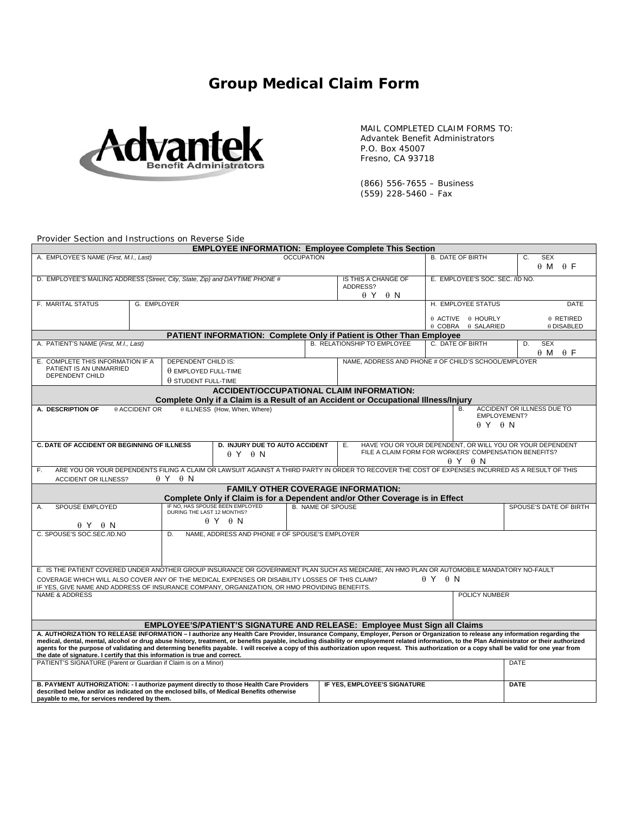*Group Medical Claim Form* 



MAIL COMPLETED CLAIM FORMS TO: Advantek Benefit Administrators P.O. Box 45007 Fresno, CA 93718

(866) 556-7655 – Business  $(559)$  228-5460 – Fax

### *Provider Section and Instructions on Reverse Side*

| <b>EMPLOYEE INFORMATION: Employee Complete This Section</b>                                                                                                                                                                                                                                                                                                                                                                                                                   |                      |                             |                                       |                   |                                                       |                                                                                    |                                                           |                            |             |
|-------------------------------------------------------------------------------------------------------------------------------------------------------------------------------------------------------------------------------------------------------------------------------------------------------------------------------------------------------------------------------------------------------------------------------------------------------------------------------|----------------------|-----------------------------|---------------------------------------|-------------------|-------------------------------------------------------|------------------------------------------------------------------------------------|-----------------------------------------------------------|----------------------------|-------------|
| A. EMPLOYEE'S NAME (First, M.I., Last)                                                                                                                                                                                                                                                                                                                                                                                                                                        |                      |                             |                                       | <b>OCCUPATION</b> |                                                       |                                                                                    | <b>B. DATE OF BIRTH</b>                                   | <b>SEX</b><br>C.           |             |
|                                                                                                                                                                                                                                                                                                                                                                                                                                                                               |                      |                             |                                       |                   |                                                       |                                                                                    |                                                           | $\theta$ M $\theta$ F      |             |
| D. EMPLOYEE'S MAILING ADDRESS (Street, City, State, Zip) and DAYTIME PHONE #                                                                                                                                                                                                                                                                                                                                                                                                  |                      |                             |                                       |                   |                                                       | IS THIS A CHANGE OF                                                                | E. EMPLOYEE'S SOC. SEC. /ID NO.                           |                            |             |
|                                                                                                                                                                                                                                                                                                                                                                                                                                                                               |                      |                             |                                       |                   |                                                       | ADDRESS?                                                                           |                                                           |                            |             |
|                                                                                                                                                                                                                                                                                                                                                                                                                                                                               |                      |                             |                                       |                   |                                                       | $\theta$ Y<br>$\theta$ N                                                           |                                                           |                            |             |
| F. MARITAL STATUS                                                                                                                                                                                                                                                                                                                                                                                                                                                             | G. EMPLOYER          |                             |                                       |                   |                                                       |                                                                                    | H. EMPLOYEE STATUS                                        |                            | <b>DATE</b> |
|                                                                                                                                                                                                                                                                                                                                                                                                                                                                               |                      |                             |                                       |                   |                                                       | A ACTIVE A HOURLY                                                                  | A RETIRED                                                 |                            |             |
|                                                                                                                                                                                                                                                                                                                                                                                                                                                                               |                      |                             |                                       |                   |                                                       |                                                                                    | $θ$ COBRA $θ$ SALARIED                                    | θ DISABLED                 |             |
| PATIENT INFORMATION: Complete Only if Patient is Other Than Employee                                                                                                                                                                                                                                                                                                                                                                                                          |                      |                             |                                       |                   |                                                       |                                                                                    |                                                           |                            |             |
| A. PATIENT'S NAME (First, M.I., Last)                                                                                                                                                                                                                                                                                                                                                                                                                                         |                      |                             |                                       |                   |                                                       | <b>B. RELATIONSHIP TO EMPLOYEE</b>                                                 | C. DATE OF BIRTH                                          | <b>SEX</b><br>D.           |             |
| E. COMPLETE THIS INFORMATION IF A                                                                                                                                                                                                                                                                                                                                                                                                                                             |                      | <b>DEPENDENT CHILD IS:</b>  |                                       |                   |                                                       | NAME, ADDRESS AND PHONE # OF CHILD'S SCHOOL/EMPLOYER                               |                                                           | $\theta$ M<br>$\theta$ F   |             |
| PATIENT IS AN UNMARRIED                                                                                                                                                                                                                                                                                                                                                                                                                                                       |                      | $\theta$ EMPLOYED FULL-TIME |                                       |                   |                                                       |                                                                                    |                                                           |                            |             |
| DEPENDENT CHILD                                                                                                                                                                                                                                                                                                                                                                                                                                                               |                      | $\theta$ STUDENT FULL-TIME  |                                       |                   |                                                       |                                                                                    |                                                           |                            |             |
|                                                                                                                                                                                                                                                                                                                                                                                                                                                                               |                      |                             |                                       |                   |                                                       | <b>ACCIDENT/OCCUPATIONAL CLAIM INFORMATION:</b>                                    |                                                           |                            |             |
|                                                                                                                                                                                                                                                                                                                                                                                                                                                                               |                      |                             |                                       |                   |                                                       | Complete Only if a Claim is a Result of an Accident or Occupational Illness/Injury |                                                           |                            |             |
| A. DESCRIPTION OF                                                                                                                                                                                                                                                                                                                                                                                                                                                             | <b>θ ACCIDENT OR</b> |                             | θ ILLNESS (How, When, Where)          |                   |                                                       |                                                                                    | <b>B.</b>                                                 | ACCIDENT OR ILLNESS DUE TO |             |
|                                                                                                                                                                                                                                                                                                                                                                                                                                                                               |                      |                             |                                       |                   |                                                       |                                                                                    | EMPLOYEMENT?                                              |                            |             |
|                                                                                                                                                                                                                                                                                                                                                                                                                                                                               |                      |                             |                                       |                   |                                                       |                                                                                    | $\theta$ Y $\theta$ N                                     |                            |             |
|                                                                                                                                                                                                                                                                                                                                                                                                                                                                               |                      |                             |                                       |                   |                                                       |                                                                                    |                                                           |                            |             |
| <b>C. DATE OF ACCIDENT OR BEGINNING OF ILLNESS</b>                                                                                                                                                                                                                                                                                                                                                                                                                            |                      |                             | <b>D. INJURY DUE TO AUTO ACCIDENT</b> |                   |                                                       | E.                                                                                 | HAVE YOU OR YOUR DEPENDENT, OR WILL YOU OR YOUR DEPENDENT |                            |             |
| $\theta$ Y $\theta$ N                                                                                                                                                                                                                                                                                                                                                                                                                                                         |                      |                             |                                       |                   | FILE A CLAIM FORM FOR WORKERS' COMPENSATION BENEFITS? |                                                                                    |                                                           |                            |             |
|                                                                                                                                                                                                                                                                                                                                                                                                                                                                               |                      |                             |                                       |                   |                                                       |                                                                                    | $\theta$ Y $\theta$ N                                     |                            |             |
| ARE YOU OR YOUR DEPENDENTS FILING A CLAIM OR LAWSUIT AGAINST A THIRD PARTY IN ORDER TO RECOVER THE COST OF EXPENSES INCURRED AS A RESULT OF THIS<br>F.<br>$\theta$ Y $\theta$ N                                                                                                                                                                                                                                                                                               |                      |                             |                                       |                   |                                                       |                                                                                    |                                                           |                            |             |
| <b>ACCIDENT OR ILLNESS?</b>                                                                                                                                                                                                                                                                                                                                                                                                                                                   |                      |                             |                                       |                   |                                                       |                                                                                    |                                                           |                            |             |
| <b>FAMILY OTHER COVERAGE INFORMATION:</b><br>Complete Only if Claim is for a Dependent and/or Other Coverage is in Effect                                                                                                                                                                                                                                                                                                                                                     |                      |                             |                                       |                   |                                                       |                                                                                    |                                                           |                            |             |
| IF NO. HAS SPOUSE BEEN EMPLOYED<br><b>B. NAME OF SPOUSE</b><br><b>SPOUSE EMPLOYED</b><br>Α.                                                                                                                                                                                                                                                                                                                                                                                   |                      |                             |                                       |                   |                                                       | SPOUSE'S DATE OF BIRTH                                                             |                                                           |                            |             |
|                                                                                                                                                                                                                                                                                                                                                                                                                                                                               |                      | DURING THE LAST 12 MONTHS?  |                                       |                   |                                                       |                                                                                    |                                                           |                            |             |
| $\theta$ Y $\theta$ N<br>θΥ θΝ                                                                                                                                                                                                                                                                                                                                                                                                                                                |                      |                             |                                       |                   |                                                       |                                                                                    |                                                           |                            |             |
| C. SPOUSE'S SOC.SEC./ID.NO<br>NAME, ADDRESS AND PHONE # OF SPOUSE'S EMPLOYER<br>D.                                                                                                                                                                                                                                                                                                                                                                                            |                      |                             |                                       |                   |                                                       |                                                                                    |                                                           |                            |             |
|                                                                                                                                                                                                                                                                                                                                                                                                                                                                               |                      |                             |                                       |                   |                                                       |                                                                                    |                                                           |                            |             |
|                                                                                                                                                                                                                                                                                                                                                                                                                                                                               |                      |                             |                                       |                   |                                                       |                                                                                    |                                                           |                            |             |
|                                                                                                                                                                                                                                                                                                                                                                                                                                                                               |                      |                             |                                       |                   |                                                       |                                                                                    |                                                           |                            |             |
| E. IS THE PATIENT COVERED UNDER ANOTHER GROUP INSURANCE OR GOVERNMENT PLAN SUCH AS MEDICARE, AN HMO PLAN OR AUTOMOBILE MANDATORY NO-FAULT                                                                                                                                                                                                                                                                                                                                     |                      |                             |                                       |                   |                                                       |                                                                                    |                                                           |                            |             |
| A Y A N<br>COVERAGE WHICH WILL ALSO COVER ANY OF THE MEDICAL EXPENSES OR DISABILITY LOSSES OF THIS CLAIM?<br>IF YES, GIVE NAME AND ADDRESS OF INSURANCE COMPANY, ORGANIZATION, OR HMO PROVIDING BENEFITS.                                                                                                                                                                                                                                                                     |                      |                             |                                       |                   |                                                       |                                                                                    |                                                           |                            |             |
| <b>NAME &amp; ADDRESS</b><br>POLICY NUMBER                                                                                                                                                                                                                                                                                                                                                                                                                                    |                      |                             |                                       |                   |                                                       |                                                                                    |                                                           |                            |             |
|                                                                                                                                                                                                                                                                                                                                                                                                                                                                               |                      |                             |                                       |                   |                                                       |                                                                                    |                                                           |                            |             |
|                                                                                                                                                                                                                                                                                                                                                                                                                                                                               |                      |                             |                                       |                   |                                                       |                                                                                    |                                                           |                            |             |
| <b>EMPLOYEE'S/PATIENT'S SIGNATURE AND RELEASE: Employee Must Sign all Claims</b>                                                                                                                                                                                                                                                                                                                                                                                              |                      |                             |                                       |                   |                                                       |                                                                                    |                                                           |                            |             |
| A. AUTHORIZATION TO RELEASE INFORMATION - I authorize any Health Care Provider, Insurance Company, Employer, Person or Organization to release any information regarding the                                                                                                                                                                                                                                                                                                  |                      |                             |                                       |                   |                                                       |                                                                                    |                                                           |                            |             |
| medical, dental, mental, alcohol or drug abuse history, treatment, or benefits payable, including disability or employement related information, to the Plan Administrator or their authorized<br>agents for the purpose of validating and determing benefits payable. I will receive a copy of this authorization upon request. This authorization or a copy shall be valid for one year from<br>the date of signature. I certify that this information is true and correct. |                      |                             |                                       |                   |                                                       |                                                                                    |                                                           |                            |             |
| PATIENT'S SIGNATURE (Parent or Guardian if Claim is on a Minor)                                                                                                                                                                                                                                                                                                                                                                                                               |                      |                             |                                       |                   |                                                       |                                                                                    | <b>DATE</b>                                               |                            |             |
|                                                                                                                                                                                                                                                                                                                                                                                                                                                                               |                      |                             |                                       |                   |                                                       |                                                                                    |                                                           |                            |             |
| B. PAYMENT AUTHORIZATION: - I authorize payment directly to those Health Care Providers<br>IF YES, EMPLOYEE'S SIGNATURE                                                                                                                                                                                                                                                                                                                                                       |                      |                             |                                       |                   |                                                       |                                                                                    | <b>DATE</b>                                               |                            |             |
| described below and/or as indicated on the enclosed bills, of Medical Benefits otherwise                                                                                                                                                                                                                                                                                                                                                                                      |                      |                             |                                       |                   |                                                       |                                                                                    |                                                           |                            |             |
| payable to me, for services rendered by them.                                                                                                                                                                                                                                                                                                                                                                                                                                 |                      |                             |                                       |                   |                                                       |                                                                                    |                                                           |                            |             |